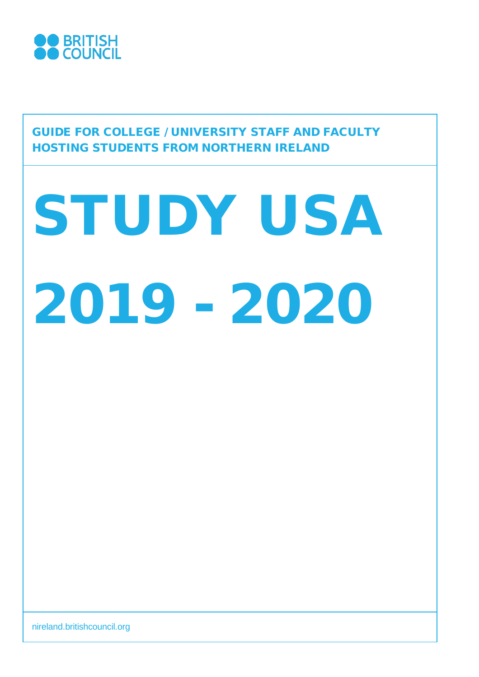

GUIDE FOR COLLEGE / UNIVERSITY STAFF AND FACULTY HOSTING STUDENTS FROM NORTHERN IRELAND

# STUDY USA 2019 - 2020

nireland.britishcouncil.org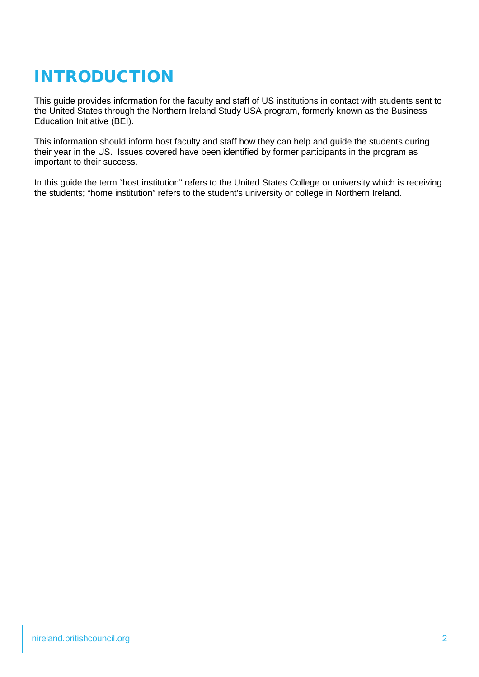# INTRODUCTION

This guide provides information for the faculty and staff of US institutions in contact with students sent to the United States through the Northern Ireland Study USA program, formerly known as the Business Education Initiative (BEI).

This information should inform host faculty and staff how they can help and guide the students during their year in the US. Issues covered have been identified by former participants in the program as important to their success.

In this guide the term "host institution" refers to the United States College or university which is receiving the students; "home institution" refers to the student's university or college in Northern Ireland.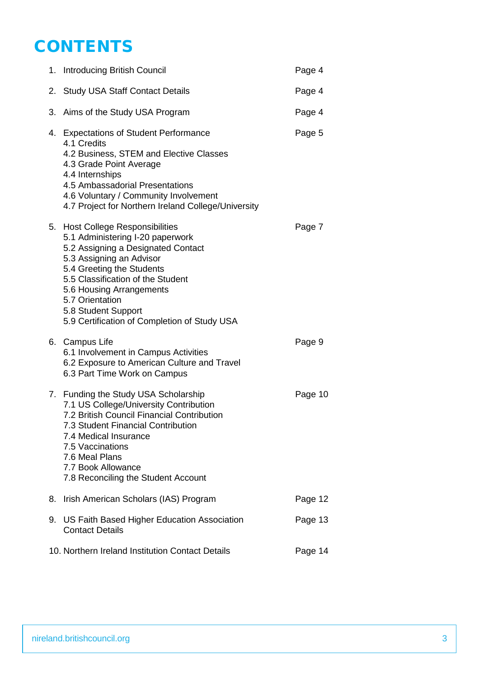# **CONTENTS**

|    | 1. Introducing British Council                                                                                                                                                                                                                                                                                                 | Page 4  |
|----|--------------------------------------------------------------------------------------------------------------------------------------------------------------------------------------------------------------------------------------------------------------------------------------------------------------------------------|---------|
| 2. | <b>Study USA Staff Contact Details</b>                                                                                                                                                                                                                                                                                         | Page 4  |
| 3. | Aims of the Study USA Program                                                                                                                                                                                                                                                                                                  | Page 4  |
|    | 4. Expectations of Student Performance<br>4.1 Credits<br>4.2 Business, STEM and Elective Classes<br>4.3 Grade Point Average<br>4.4 Internships<br>4.5 Ambassadorial Presentations<br>4.6 Voluntary / Community Involvement<br>4.7 Project for Northern Ireland College/University                                              | Page 5  |
|    | 5. Host College Responsibilities<br>5.1 Administering I-20 paperwork<br>5.2 Assigning a Designated Contact<br>5.3 Assigning an Advisor<br>5.4 Greeting the Students<br>5.5 Classification of the Student<br>5.6 Housing Arrangements<br>5.7 Orientation<br>5.8 Student Support<br>5.9 Certification of Completion of Study USA | Page 7  |
|    | 6. Campus Life<br>6.1 Involvement in Campus Activities<br>6.2 Exposure to American Culture and Travel<br>6.3 Part Time Work on Campus                                                                                                                                                                                          | Page 9  |
|    | 7. Funding the Study USA Scholarship<br>7.1 US College/University Contribution<br>7.2 British Council Financial Contribution<br>7.3 Student Financial Contribution<br>7.4 Medical Insurance<br>7.5 Vaccinations<br>7.6 Meal Plans<br>7.7 Book Allowance<br>7.8 Reconciling the Student Account                                 | Page 10 |
| 8. | Irish American Scholars (IAS) Program                                                                                                                                                                                                                                                                                          | Page 12 |
| 9. | US Faith Based Higher Education Association<br><b>Contact Details</b>                                                                                                                                                                                                                                                          | Page 13 |
|    | 10. Northern Ireland Institution Contact Details                                                                                                                                                                                                                                                                               | Page 14 |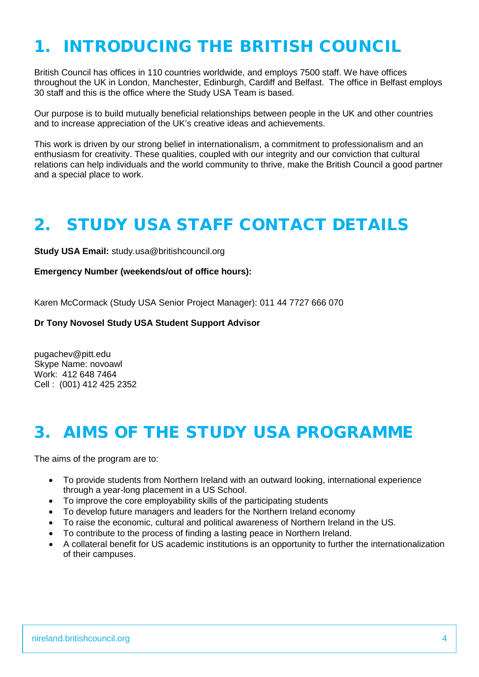# 1. INTRODUCING THE BRITISH COUNCIL

British Council has offices in 110 countries worldwide, and employs 7500 staff. We have offices throughout the UK in London, Manchester, Edinburgh, Cardiff and Belfast. The office in Belfast employs 30 staff and this is the office where the Study USA Team is based.

Our purpose is to build mutually beneficial relationships between people in the UK and other countries and to increase appreciation of the UK's creative ideas and achievements.

This work is driven by our strong belief in internationalism, a commitment to professionalism and an enthusiasm for creativity. These qualities, coupled with our integrity and our conviction that cultural relations can help individuals and the world community to thrive, make the British Council a good partner and a special place to work.

# 2. STUDY USA STAFF CONTACT DETAILS

**Study USA Email:** study.usa@britishcouncil.org

**Emergency Number (weekends/out of office hours):**

Karen McCormack (Study USA Senior Project Manager): 011 44 7727 666 070

**Dr Tony Novosel Study USA Student Support Advisor**

pugachev@pitt.edu Skype Name: novoawl Work: 412 648 7464 Cell : (001) 412 425 2352

# 3. AIMS OF THE STUDY USA PROGRAMME

The aims of the program are to:

- To provide students from Northern Ireland with an outward looking, international experience through a year-long placement in a US School.
- To improve the core employability skills of the participating students
- To develop future managers and leaders for the Northern Ireland economy
- To raise the economic, cultural and political awareness of Northern Ireland in the US.
- To contribute to the process of finding a lasting peace in Northern Ireland.
- A collateral benefit for US academic institutions is an opportunity to further the internationalization of their campuses.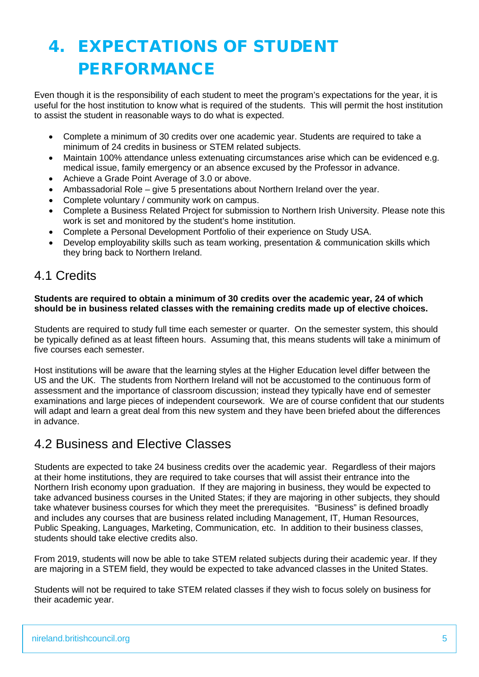# 4. EXPECTATIONS OF STUDENT PERFORMANCE

Even though it is the responsibility of each student to meet the program's expectations for the year, it is useful for the host institution to know what is required of the students. This will permit the host institution to assist the student in reasonable ways to do what is expected.

- Complete a minimum of 30 credits over one academic year. Students are required to take a minimum of 24 credits in business or STEM related subjects.
- Maintain 100% attendance unless extenuating circumstances arise which can be evidenced e.g. medical issue, family emergency or an absence excused by the Professor in advance.
- Achieve a Grade Point Average of 3.0 or above.
- Ambassadorial Role give 5 presentations about Northern Ireland over the year.
- Complete voluntary / community work on campus.
- Complete a Business Related Project for submission to Northern Irish University. Please note this work is set and monitored by the student's home institution.
- Complete a Personal Development Portfolio of their experience on Study USA.
- Develop employability skills such as team working, presentation & communication skills which they bring back to Northern Ireland.

### 4.1 Credits

#### **Students are required to obtain a minimum of 30 credits over the academic year, 24 of which should be in business related classes with the remaining credits made up of elective choices.**

Students are required to study full time each semester or quarter. On the semester system, this should be typically defined as at least fifteen hours. Assuming that, this means students will take a minimum of five courses each semester.

Host institutions will be aware that the learning styles at the Higher Education level differ between the US and the UK. The students from Northern Ireland will not be accustomed to the continuous form of assessment and the importance of classroom discussion; instead they typically have end of semester examinations and large pieces of independent coursework. We are of course confident that our students will adapt and learn a great deal from this new system and they have been briefed about the differences in advance.

### 4.2 Business and Elective Classes

Students are expected to take 24 business credits over the academic year. Regardless of their majors at their home institutions, they are required to take courses that will assist their entrance into the Northern Irish economy upon graduation. If they are majoring in business, they would be expected to take advanced business courses in the United States; if they are majoring in other subjects, they should take whatever business courses for which they meet the prerequisites. "Business" is defined broadly and includes any courses that are business related including Management, IT, Human Resources, Public Speaking, Languages, Marketing, Communication, etc. In addition to their business classes, students should take elective credits also.

From 2019, students will now be able to take STEM related subjects during their academic year. If they are majoring in a STEM field, they would be expected to take advanced classes in the United States.

Students will not be required to take STEM related classes if they wish to focus solely on business for their academic year.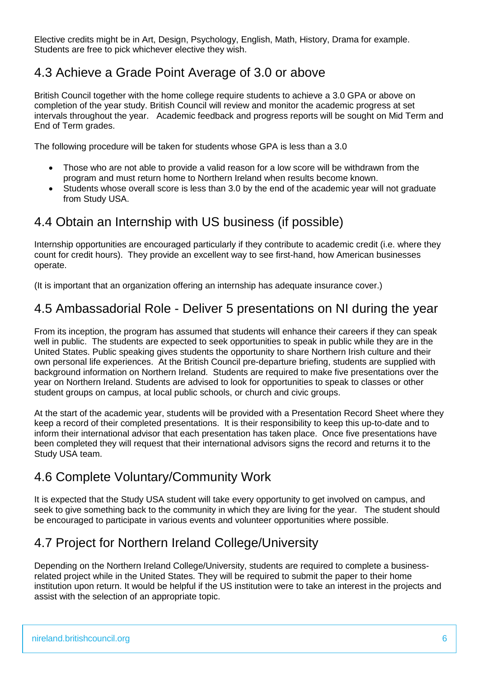Elective credits might be in Art, Design, Psychology, English, Math, History, Drama for example. Students are free to pick whichever elective they wish.

### 4.3 Achieve a Grade Point Average of 3.0 or above

British Council together with the home college require students to achieve a 3.0 GPA or above on completion of the year study. British Council will review and monitor the academic progress at set intervals throughout the year. Academic feedback and progress reports will be sought on Mid Term and End of Term grades.

The following procedure will be taken for students whose GPA is less than a 3.0

- Those who are not able to provide a valid reason for a low score will be withdrawn from the program and must return home to Northern Ireland when results become known.
- Students whose overall score is less than 3.0 by the end of the academic year will not graduate from Study USA.

### 4.4 Obtain an Internship with US business (if possible)

Internship opportunities are encouraged particularly if they contribute to academic credit (i.e. where they count for credit hours). They provide an excellent way to see first-hand, how American businesses operate.

(It is important that an organization offering an internship has adequate insurance cover.)

### 4.5 Ambassadorial Role - Deliver 5 presentations on NI during the year

From its inception, the program has assumed that students will enhance their careers if they can speak well in public. The students are expected to seek opportunities to speak in public while they are in the United States. Public speaking gives students the opportunity to share Northern Irish culture and their own personal life experiences. At the British Council pre-departure briefing, students are supplied with background information on Northern Ireland. Students are required to make five presentations over the year on Northern Ireland. Students are advised to look for opportunities to speak to classes or other student groups on campus, at local public schools, or church and civic groups.

At the start of the academic year, students will be provided with a Presentation Record Sheet where they keep a record of their completed presentations. It is their responsibility to keep this up-to-date and to inform their international advisor that each presentation has taken place. Once five presentations have been completed they will request that their international advisors signs the record and returns it to the Study USA team.

# 4.6 Complete Voluntary/Community Work

It is expected that the Study USA student will take every opportunity to get involved on campus, and seek to give something back to the community in which they are living for the year. The student should be encouraged to participate in various events and volunteer opportunities where possible.

### 4.7 Project for Northern Ireland College/University

Depending on the Northern Ireland College/University, students are required to complete a businessrelated project while in the United States. They will be required to submit the paper to their home institution upon return. It would be helpful if the US institution were to take an interest in the projects and assist with the selection of an appropriate topic.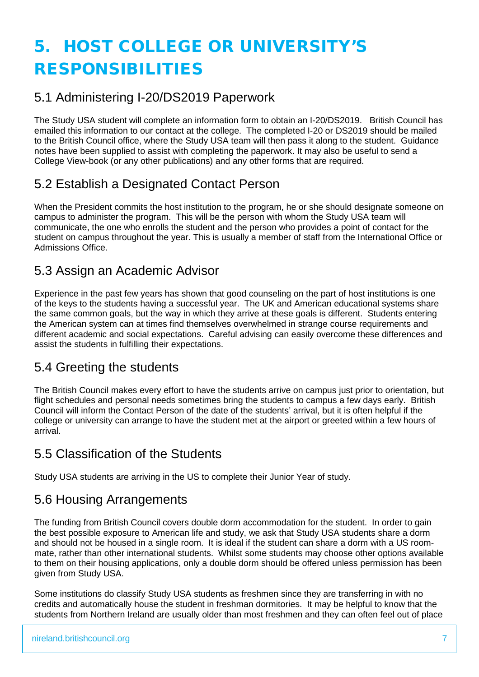# 5. HOST COLLEGE OR UNIVERSITY'S RESPONSIBILITIES

### 5.1 Administering I-20/DS2019 Paperwork

The Study USA student will complete an information form to obtain an I-20/DS2019. British Council has emailed this information to our contact at the college. The completed I-20 or DS2019 should be mailed to the British Council office, where the Study USA team will then pass it along to the student. Guidance notes have been supplied to assist with completing the paperwork. It may also be useful to send a College View-book (or any other publications) and any other forms that are required.

### 5.2 Establish a Designated Contact Person

When the President commits the host institution to the program, he or she should designate someone on campus to administer the program. This will be the person with whom the Study USA team will communicate, the one who enrolls the student and the person who provides a point of contact for the student on campus throughout the year. This is usually a member of staff from the International Office or Admissions Office.

### 5.3 Assign an Academic Advisor

Experience in the past few years has shown that good counseling on the part of host institutions is one of the keys to the students having a successful year. The UK and American educational systems share the same common goals, but the way in which they arrive at these goals is different. Students entering the American system can at times find themselves overwhelmed in strange course requirements and different academic and social expectations. Careful advising can easily overcome these differences and assist the students in fulfilling their expectations.

# 5.4 Greeting the students

The British Council makes every effort to have the students arrive on campus just prior to orientation, but flight schedules and personal needs sometimes bring the students to campus a few days early. British Council will inform the Contact Person of the date of the students' arrival, but it is often helpful if the college or university can arrange to have the student met at the airport or greeted within a few hours of arrival.

### 5.5 Classification of the Students

Study USA students are arriving in the US to complete their Junior Year of study.

### 5.6 Housing Arrangements

The funding from British Council covers double dorm accommodation for the student. In order to gain the best possible exposure to American life and study, we ask that Study USA students share a dorm and should not be housed in a single room. It is ideal if the student can share a dorm with a US roommate, rather than other international students. Whilst some students may choose other options available to them on their housing applications, only a double dorm should be offered unless permission has been given from Study USA.

Some institutions do classify Study USA students as freshmen since they are transferring in with no credits and automatically house the student in freshman dormitories. It may be helpful to know that the students from Northern Ireland are usually older than most freshmen and they can often feel out of place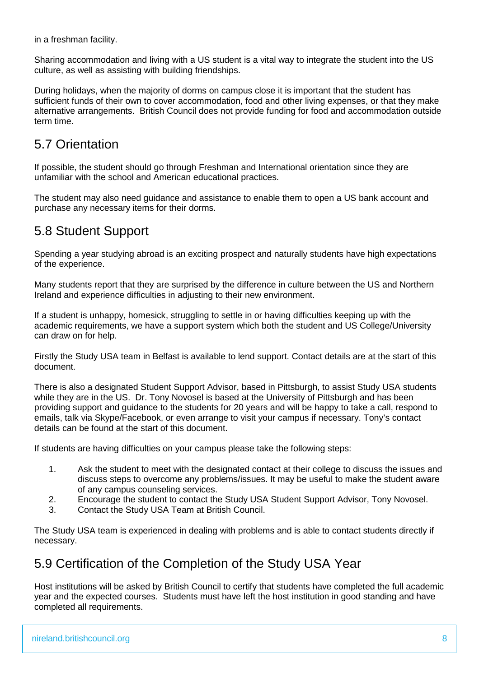in a freshman facility.

Sharing accommodation and living with a US student is a vital way to integrate the student into the US culture, as well as assisting with building friendships.

During holidays, when the majority of dorms on campus close it is important that the student has sufficient funds of their own to cover accommodation, food and other living expenses, or that they make alternative arrangements. British Council does not provide funding for food and accommodation outside term time.

### 5.7 Orientation

If possible, the student should go through Freshman and International orientation since they are unfamiliar with the school and American educational practices.

The student may also need guidance and assistance to enable them to open a US bank account and purchase any necessary items for their dorms.

### 5.8 Student Support

Spending a year studying abroad is an exciting prospect and naturally students have high expectations of the experience.

Many students report that they are surprised by the difference in culture between the US and Northern Ireland and experience difficulties in adjusting to their new environment.

If a student is unhappy, homesick, struggling to settle in or having difficulties keeping up with the academic requirements, we have a support system which both the student and US College/University can draw on for help.

Firstly the Study USA team in Belfast is available to lend support. Contact details are at the start of this document.

There is also a designated Student Support Advisor, based in Pittsburgh, to assist Study USA students while they are in the US. Dr. Tony Novosel is based at the University of Pittsburgh and has been providing support and guidance to the students for 20 years and will be happy to take a call, respond to emails, talk via Skype/Facebook, or even arrange to visit your campus if necessary. Tony's contact details can be found at the start of this document.

If students are having difficulties on your campus please take the following steps:

- 1. Ask the student to meet with the designated contact at their college to discuss the issues and discuss steps to overcome any problems/issues. It may be useful to make the student aware of any campus counseling services.
- 2. Encourage the student to contact the Study USA Student Support Advisor, Tony Novosel.
- 3. Contact the Study USA Team at British Council.

The Study USA team is experienced in dealing with problems and is able to contact students directly if necessary.

### 5.9 Certification of the Completion of the Study USA Year

Host institutions will be asked by British Council to certify that students have completed the full academic year and the expected courses. Students must have left the host institution in good standing and have completed all requirements.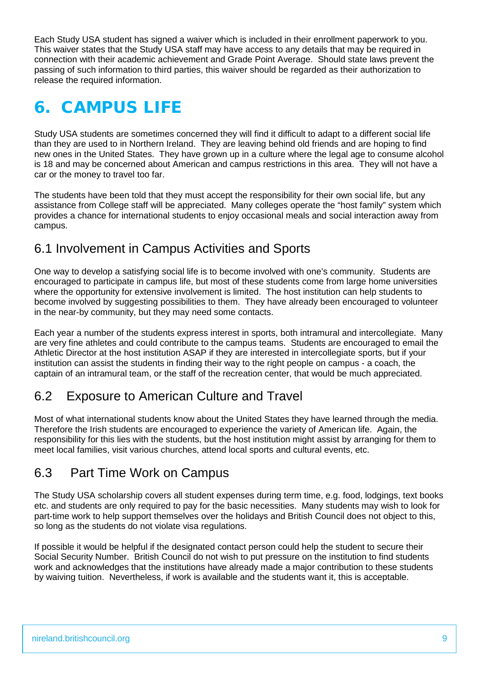Each Study USA student has signed a waiver which is included in their enrollment paperwork to you. This waiver states that the Study USA staff may have access to any details that may be required in connection with their academic achievement and Grade Point Average. Should state laws prevent the passing of such information to third parties, this waiver should be regarded as their authorization to release the required information.

# 6. CAMPUS LIFE

Study USA students are sometimes concerned they will find it difficult to adapt to a different social life than they are used to in Northern Ireland. They are leaving behind old friends and are hoping to find new ones in the United States. They have grown up in a culture where the legal age to consume alcohol is 18 and may be concerned about American and campus restrictions in this area. They will not have a car or the money to travel too far.

The students have been told that they must accept the responsibility for their own social life, but any assistance from College staff will be appreciated. Many colleges operate the "host family" system which provides a chance for international students to enjoy occasional meals and social interaction away from campus.

### 6.1 Involvement in Campus Activities and Sports

One way to develop a satisfying social life is to become involved with one's community. Students are encouraged to participate in campus life, but most of these students come from large home universities where the opportunity for extensive involvement is limited. The host institution can help students to become involved by suggesting possibilities to them. They have already been encouraged to volunteer in the near-by community, but they may need some contacts.

Each year a number of the students express interest in sports, both intramural and intercollegiate. Many are very fine athletes and could contribute to the campus teams. Students are encouraged to email the Athletic Director at the host institution ASAP if they are interested in intercollegiate sports, but if your institution can assist the students in finding their way to the right people on campus - a coach, the captain of an intramural team, or the staff of the recreation center, that would be much appreciated.

### 6.2 Exposure to American Culture and Travel

Most of what international students know about the United States they have learned through the media. Therefore the Irish students are encouraged to experience the variety of American life. Again, the responsibility for this lies with the students, but the host institution might assist by arranging for them to meet local families, visit various churches, attend local sports and cultural events, etc.

### 6.3 Part Time Work on Campus

The Study USA scholarship covers all student expenses during term time, e.g. food, lodgings, text books etc. and students are only required to pay for the basic necessities. Many students may wish to look for part-time work to help support themselves over the holidays and British Council does not object to this, so long as the students do not violate visa regulations.

If possible it would be helpful if the designated contact person could help the student to secure their Social Security Number. British Council do not wish to put pressure on the institution to find students work and acknowledges that the institutions have already made a major contribution to these students by waiving tuition. Nevertheless, if work is available and the students want it, this is acceptable.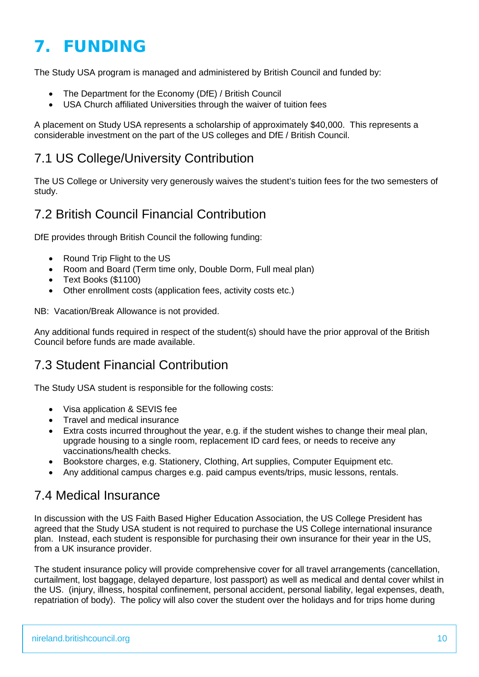# 7. FUNDING

The Study USA program is managed and administered by British Council and funded by:

- The Department for the Economy (DfE) / British Council
- USA Church affiliated Universities through the waiver of tuition fees

A placement on Study USA represents a scholarship of approximately \$40,000. This represents a considerable investment on the part of the US colleges and DfE / British Council.

### 7.1 US College/University Contribution

The US College or University very generously waives the student's tuition fees for the two semesters of study.

### 7.2 British Council Financial Contribution

DfE provides through British Council the following funding:

- Round Trip Flight to the US
- Room and Board (Term time only, Double Dorm, Full meal plan)
- Text Books (\$1100)
- Other enrollment costs (application fees, activity costs etc.)

NB: Vacation/Break Allowance is not provided.

Any additional funds required in respect of the student(s) should have the prior approval of the British Council before funds are made available.

### 7.3 Student Financial Contribution

The Study USA student is responsible for the following costs:

- Visa application & SEVIS fee
- Travel and medical insurance
- Extra costs incurred throughout the year, e.g. if the student wishes to change their meal plan, upgrade housing to a single room, replacement ID card fees, or needs to receive any vaccinations/health checks.
- Bookstore charges, e.g. Stationery, Clothing, Art supplies, Computer Equipment etc.
- Any additional campus charges e.g. paid campus events/trips, music lessons, rentals.

### 7.4 Medical Insurance

In discussion with the US Faith Based Higher Education Association, the US College President has agreed that the Study USA student is not required to purchase the US College international insurance plan. Instead, each student is responsible for purchasing their own insurance for their year in the US, from a UK insurance provider.

The student insurance policy will provide comprehensive cover for all travel arrangements (cancellation, curtailment, lost baggage, delayed departure, lost passport) as well as medical and dental cover whilst in the US. (injury, illness, hospital confinement, personal accident, personal liability, legal expenses, death, repatriation of body). The policy will also cover the student over the holidays and for trips home during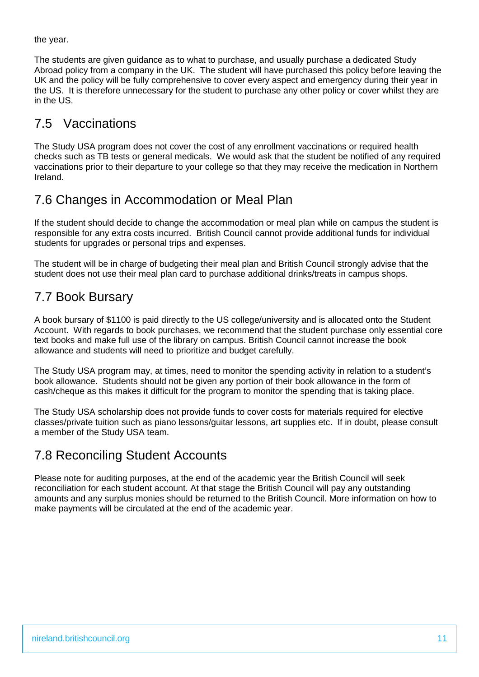the year.

The students are given guidance as to what to purchase, and usually purchase a dedicated Study Abroad policy from a company in the UK. The student will have purchased this policy before leaving the UK and the policy will be fully comprehensive to cover every aspect and emergency during their year in the US. It is therefore unnecessary for the student to purchase any other policy or cover whilst they are in the US.

### 7.5 Vaccinations

The Study USA program does not cover the cost of any enrollment vaccinations or required health checks such as TB tests or general medicals. We would ask that the student be notified of any required vaccinations prior to their departure to your college so that they may receive the medication in Northern Ireland.

### 7.6 Changes in Accommodation or Meal Plan

If the student should decide to change the accommodation or meal plan while on campus the student is responsible for any extra costs incurred. British Council cannot provide additional funds for individual students for upgrades or personal trips and expenses.

The student will be in charge of budgeting their meal plan and British Council strongly advise that the student does not use their meal plan card to purchase additional drinks/treats in campus shops.

### 7.7 Book Bursary

A book bursary of \$1100 is paid directly to the US college/university and is allocated onto the Student Account. With regards to book purchases, we recommend that the student purchase only essential core text books and make full use of the library on campus. British Council cannot increase the book allowance and students will need to prioritize and budget carefully.

The Study USA program may, at times, need to monitor the spending activity in relation to a student's book allowance. Students should not be given any portion of their book allowance in the form of cash/cheque as this makes it difficult for the program to monitor the spending that is taking place.

The Study USA scholarship does not provide funds to cover costs for materials required for elective classes/private tuition such as piano lessons/guitar lessons, art supplies etc. If in doubt, please consult a member of the Study USA team.

### 7.8 Reconciling Student Accounts

Please note for auditing purposes, at the end of the academic year the British Council will seek reconciliation for each student account. At that stage the British Council will pay any outstanding amounts and any surplus monies should be returned to the British Council. More information on how to make payments will be circulated at the end of the academic year.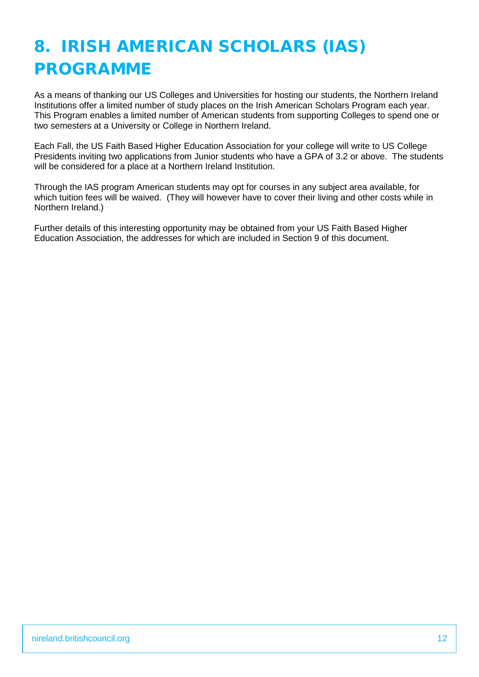# 8. IRISH AMERICAN SCHOLARS (IAS) PROGRAMME

As a means of thanking our US Colleges and Universities for hosting our students, the Northern Ireland Institutions offer a limited number of study places on the Irish American Scholars Program each year. This Program enables a limited number of American students from supporting Colleges to spend one or two semesters at a University or College in Northern Ireland.

Each Fall, the US Faith Based Higher Education Association for your college will write to US College Presidents inviting two applications from Junior students who have a GPA of 3.2 or above. The students will be considered for a place at a Northern Ireland Institution.

Through the IAS program American students may opt for courses in any subject area available, for which tuition fees will be waived. (They will however have to cover their living and other costs while in Northern Ireland.)

Further details of this interesting opportunity may be obtained from your US Faith Based Higher Education Association, the addresses for which are included in Section 9 of this document.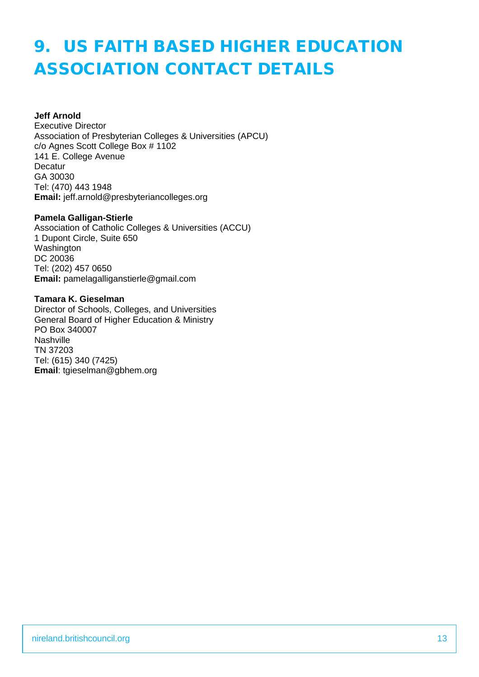# 9. US FAITH BASED HIGHER EDUCATION ASSOCIATION CONTACT DETAILS

### **Jeff Arnold**

Executive Director Association of Presbyterian Colleges & Universities (APCU) c/o Agnes Scott College Box # 1102 141 E. College Avenue Decatur GA 30030 Tel: (470) 443 1948 **Email:** jeff.arnold@presbyteriancolleges.org

#### **Pamela Galligan-Stierle**

Association of Catholic Colleges & Universities (ACCU) 1 Dupont Circle, Suite 650 Washington DC 20036 Tel: (202) 457 0650 **Email:** pamelagalliganstierle@gmail.com

#### **Tamara K. Gieselman**

Director of Schools, Colleges, and Universities General Board of Higher Education & Ministry PO Box 340007 Nashville TN 37203 Tel: (615) 340 (7425) **Email**: tgieselman@gbhem.org